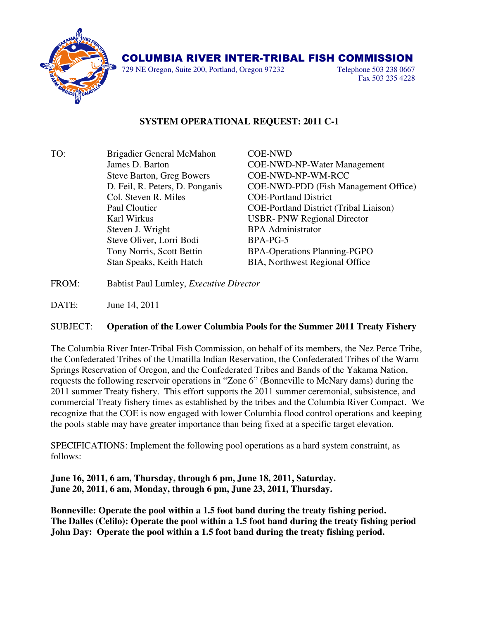

## COLUMBIA RIVER INTER-TRIBAL FISH COMMISSION

729 NE Oregon, Suite 200, Portland, Oregon 97232 Telephone 503 238 0667

Fax 503 235 4228

## **SYSTEM OPERATIONAL REQUEST: 2011 C-1**

| TO: | Brigadier General McMahon        | <b>COE-NWD</b>                                |
|-----|----------------------------------|-----------------------------------------------|
|     | James D. Barton                  | <b>COE-NWD-NP-Water Management</b>            |
|     | <b>Steve Barton, Greg Bowers</b> | COE-NWD-NP-WM-RCC                             |
|     | D. Feil, R. Peters, D. Ponganis  | COE-NWD-PDD (Fish Management Office)          |
|     | Col. Steven R. Miles             | <b>COE-Portland District</b>                  |
|     | Paul Cloutier                    | <b>COE-Portland District (Tribal Liaison)</b> |
|     | Karl Wirkus                      | <b>USBR-PNW Regional Director</b>             |
|     | Steven J. Wright                 | <b>BPA</b> Administrator                      |
|     | Steve Oliver, Lorri Bodi         | BPA-PG-5                                      |
|     | Tony Norris, Scott Bettin        | <b>BPA-Operations Planning-PGPO</b>           |
|     | Stan Speaks, Keith Hatch         | <b>BIA, Northwest Regional Office</b>         |
|     |                                  |                                               |

- FROM: Babtist Paul Lumley, *Executive Director*
- DATE: June 14, 2011

## SUBJECT: **Operation of the Lower Columbia Pools for the Summer 2011 Treaty Fishery**

The Columbia River Inter-Tribal Fish Commission, on behalf of its members, the Nez Perce Tribe, the Confederated Tribes of the Umatilla Indian Reservation, the Confederated Tribes of the Warm Springs Reservation of Oregon, and the Confederated Tribes and Bands of the Yakama Nation, requests the following reservoir operations in "Zone 6" (Bonneville to McNary dams) during the 2011 summer Treaty fishery. This effort supports the 2011 summer ceremonial, subsistence, and commercial Treaty fishery times as established by the tribes and the Columbia River Compact. We recognize that the COE is now engaged with lower Columbia flood control operations and keeping the pools stable may have greater importance than being fixed at a specific target elevation.

SPECIFICATIONS: Implement the following pool operations as a hard system constraint, as follows:

**June 16, 2011, 6 am, Thursday, through 6 pm, June 18, 2011, Saturday. June 20, 2011, 6 am, Monday, through 6 pm, June 23, 2011, Thursday.** 

**Bonneville: Operate the pool within a 1.5 foot band during the treaty fishing period. The Dalles (Celilo): Operate the pool within a 1.5 foot band during the treaty fishing period John Day: Operate the pool within a 1.5 foot band during the treaty fishing period.**